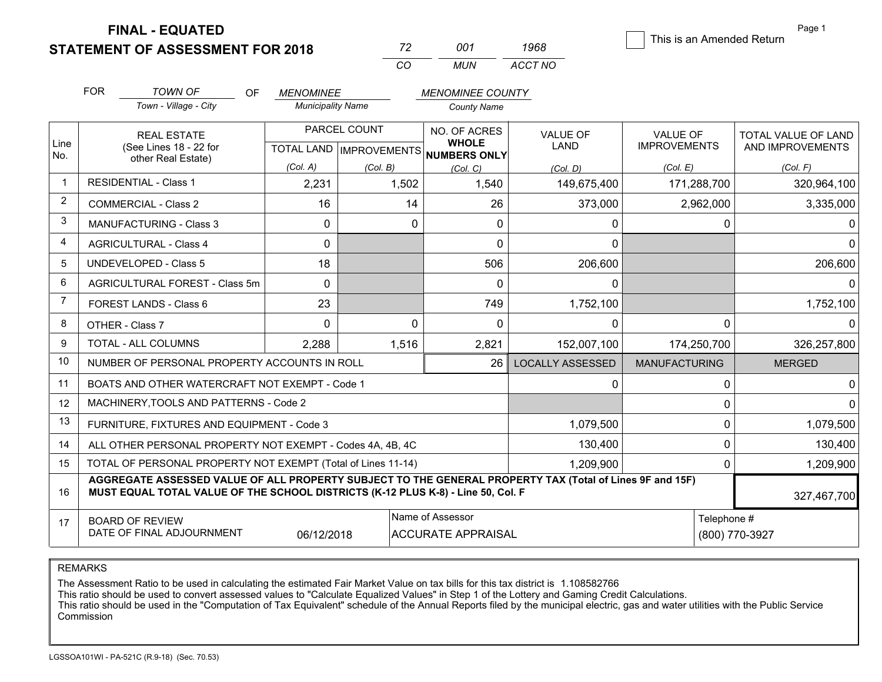**FINAL - EQUATED**

**STATEMENT OF ASSESSMENT FOR 2018** 

| - 72 | -001 - | 1968    | This is an Amended Return |
|------|--------|---------|---------------------------|
| CO   | MUN    | ACCT NO |                           |

Page 1

|                | <b>FOR</b>                                                                                                                                                                                   | <b>TOWN OF</b><br><b>OF</b>                    | <b>MENOMINEE</b>         |                                      | <b>MENOMINEE COUNTY</b>      |                         |                      |                     |
|----------------|----------------------------------------------------------------------------------------------------------------------------------------------------------------------------------------------|------------------------------------------------|--------------------------|--------------------------------------|------------------------------|-------------------------|----------------------|---------------------|
|                |                                                                                                                                                                                              | Town - Village - City                          | <b>Municipality Name</b> |                                      | <b>County Name</b>           |                         |                      |                     |
| Line           |                                                                                                                                                                                              | <b>REAL ESTATE</b>                             |                          | PARCEL COUNT                         | NO. OF ACRES<br><b>WHOLE</b> | <b>VALUE OF</b>         | <b>VALUE OF</b>      | TOTAL VALUE OF LAND |
| No.            | (See Lines 18 - 22 for<br>other Real Estate)                                                                                                                                                 |                                                |                          | TOTAL LAND IMPROVEMENTS NUMBERS ONLY |                              | LAND                    | <b>IMPROVEMENTS</b>  | AND IMPROVEMENTS    |
|                |                                                                                                                                                                                              |                                                | (Col. A)                 | (Col. B)                             | (Col. C)                     | (Col, D)                | (Col. E)             | (Col. F)            |
| $\mathbf{1}$   |                                                                                                                                                                                              | <b>RESIDENTIAL - Class 1</b>                   | 2,231                    | 1,502                                | 1,540                        | 149,675,400             | 171,288,700          | 320,964,100         |
| $\overline{2}$ |                                                                                                                                                                                              | <b>COMMERCIAL - Class 2</b>                    | 16                       | 14                                   | 26                           | 373,000                 | 2,962,000            | 3,335,000           |
| 3              |                                                                                                                                                                                              | <b>MANUFACTURING - Class 3</b>                 | 0                        | $\Omega$                             | 0                            | 0                       | 0                    |                     |
| 4              |                                                                                                                                                                                              | <b>AGRICULTURAL - Class 4</b>                  | 0                        |                                      | 0                            | 0                       |                      |                     |
| 5              |                                                                                                                                                                                              | <b>UNDEVELOPED - Class 5</b>                   | 18                       |                                      | 506                          | 206,600                 |                      | 206,600             |
| 6              |                                                                                                                                                                                              | AGRICULTURAL FOREST - Class 5m                 | 0                        |                                      | $\Omega$                     | 0                       |                      |                     |
| $\overline{7}$ |                                                                                                                                                                                              | FOREST LANDS - Class 6                         | 23                       |                                      | 749                          | 1,752,100               |                      | 1,752,100           |
| 8              |                                                                                                                                                                                              | OTHER - Class 7                                | 0                        | $\Omega$                             | $\Omega$                     | 0                       | 0                    |                     |
| 9              |                                                                                                                                                                                              | <b>TOTAL - ALL COLUMNS</b>                     | 2,288                    | 1,516                                | 2,821                        | 152,007,100             | 174,250,700          | 326,257,800         |
| 10             |                                                                                                                                                                                              | NUMBER OF PERSONAL PROPERTY ACCOUNTS IN ROLL   |                          |                                      | 26                           | <b>LOCALLY ASSESSED</b> | <b>MANUFACTURING</b> | <b>MERGED</b>       |
| 11             |                                                                                                                                                                                              | BOATS AND OTHER WATERCRAFT NOT EXEMPT - Code 1 |                          |                                      |                              | 0                       | $\Omega$             |                     |
| 12             | MACHINERY, TOOLS AND PATTERNS - Code 2                                                                                                                                                       |                                                |                          |                                      |                              |                         | 0                    |                     |
| 13             | FURNITURE, FIXTURES AND EQUIPMENT - Code 3<br>1,079,500                                                                                                                                      |                                                |                          |                                      |                              |                         | 0                    | 1,079,500           |
| 14             | 130,400<br>ALL OTHER PERSONAL PROPERTY NOT EXEMPT - Codes 4A, 4B, 4C                                                                                                                         |                                                |                          |                                      |                              |                         |                      | 130,400             |
| 15             | TOTAL OF PERSONAL PROPERTY NOT EXEMPT (Total of Lines 11-14)                                                                                                                                 |                                                |                          |                                      |                              |                         | 0                    | 1,209,900           |
| 16             | AGGREGATE ASSESSED VALUE OF ALL PROPERTY SUBJECT TO THE GENERAL PROPERTY TAX (Total of Lines 9F and 15F)<br>MUST EQUAL TOTAL VALUE OF THE SCHOOL DISTRICTS (K-12 PLUS K-8) - Line 50, Col. F |                                                |                          |                                      |                              |                         |                      |                     |

| $\rightarrow$ | <b>REVIEW</b><br>$\sim$ $\sim$<br>⊇OAR∟ |            | Name<br>f Assessor<br>וח י              | elephone ‡ |                |
|---------------|-----------------------------------------|------------|-----------------------------------------|------------|----------------|
|               | DATE OF FINAL ADJOURNMENT               | 06/12/2018 | <sup>-</sup> APPRAISAL<br>.ACC<br>∕ IR، | (800)      | /0-3927<br>70- |

REMARKS

The Assessment Ratio to be used in calculating the estimated Fair Market Value on tax bills for this tax district is 1.108582766

This ratio should be used to convert assessed values to "Calculate Equalized Values" in Step 1 of the Lottery and Gaming Credit Calculations.<br>This ratio should be used in the "Computation of Tax Equivalent" schedule of the Commission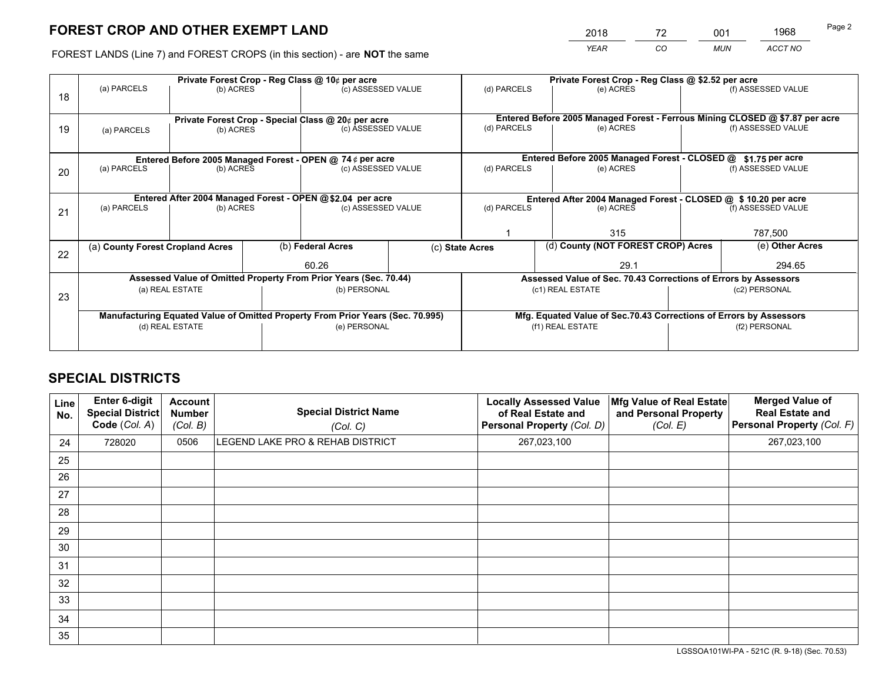# **FOREST CROP AND OTHER EXEMPT LAND**

|   | 2018        | 72 | 001        | 1968    | Page 2 |
|---|-------------|----|------------|---------|--------|
| е | <b>YEAR</b> | CO | <b>MUN</b> | ACCT NO |        |

FOREST LANDS (Line 7) and FOREST CROPS (in this section) - are **NOT** the same

|    | Private Forest Crop - Reg Class @ 10¢ per acre                                 |                                 |  |                                                                  |  | Private Forest Crop - Reg Class @ \$2.52 per acre                  |                                                                              |  |                    |  |
|----|--------------------------------------------------------------------------------|---------------------------------|--|------------------------------------------------------------------|--|--------------------------------------------------------------------|------------------------------------------------------------------------------|--|--------------------|--|
|    | (a) PARCELS                                                                    | (b) ACRES                       |  | (c) ASSESSED VALUE                                               |  | (d) PARCELS                                                        | (e) ACRES                                                                    |  | (f) ASSESSED VALUE |  |
| 18 |                                                                                |                                 |  |                                                                  |  |                                                                    |                                                                              |  |                    |  |
|    |                                                                                |                                 |  |                                                                  |  |                                                                    |                                                                              |  |                    |  |
|    |                                                                                |                                 |  | Private Forest Crop - Special Class @ 20¢ per acre               |  |                                                                    | Entered Before 2005 Managed Forest - Ferrous Mining CLOSED @ \$7.87 per acre |  |                    |  |
| 19 | (a) PARCELS                                                                    | (b) ACRES                       |  | (c) ASSESSED VALUE                                               |  | (d) PARCELS<br>(e) ACRES                                           |                                                                              |  | (f) ASSESSED VALUE |  |
|    |                                                                                |                                 |  |                                                                  |  |                                                                    |                                                                              |  |                    |  |
|    |                                                                                |                                 |  | Entered Before 2005 Managed Forest - OPEN @ 74¢ per acre         |  |                                                                    | Entered Before 2005 Managed Forest - CLOSED @                                |  | \$1.75 per acre    |  |
| 20 | (a) PARCELS                                                                    | (b) ACRES                       |  | (c) ASSESSED VALUE                                               |  | (d) PARCELS                                                        | (e) ACRES                                                                    |  | (f) ASSESSED VALUE |  |
|    |                                                                                |                                 |  |                                                                  |  |                                                                    |                                                                              |  |                    |  |
|    |                                                                                |                                 |  |                                                                  |  |                                                                    |                                                                              |  |                    |  |
|    |                                                                                |                                 |  | Entered After 2004 Managed Forest - OPEN @\$2.04 per acre        |  | Entered After 2004 Managed Forest - CLOSED @ \$ 10.20 per acre     |                                                                              |  |                    |  |
| 21 | (a) PARCELS                                                                    | (b) ACRES                       |  | (c) ASSESSED VALUE                                               |  | (d) PARCELS                                                        | (e) ACRES                                                                    |  | (f) ASSESSED VALUE |  |
|    |                                                                                |                                 |  |                                                                  |  |                                                                    |                                                                              |  |                    |  |
|    |                                                                                |                                 |  |                                                                  |  |                                                                    | 315                                                                          |  | 787,500            |  |
|    | (a) County Forest Cropland Acres                                               |                                 |  | (b) Federal Acres                                                |  | (d) County (NOT FOREST CROP) Acres<br>(c) State Acres              |                                                                              |  | (e) Other Acres    |  |
| 22 |                                                                                |                                 |  |                                                                  |  |                                                                    |                                                                              |  |                    |  |
|    |                                                                                |                                 |  | 60.26                                                            |  |                                                                    | 29.1                                                                         |  | 294.65             |  |
|    |                                                                                |                                 |  | Assessed Value of Omitted Property From Prior Years (Sec. 70.44) |  | Assessed Value of Sec. 70.43 Corrections of Errors by Assessors    |                                                                              |  |                    |  |
|    |                                                                                | (a) REAL ESTATE<br>(b) PERSONAL |  | (c1) REAL ESTATE                                                 |  | (c2) PERSONAL                                                      |                                                                              |  |                    |  |
| 23 |                                                                                |                                 |  |                                                                  |  |                                                                    |                                                                              |  |                    |  |
|    | Manufacturing Equated Value of Omitted Property From Prior Years (Sec. 70.995) |                                 |  |                                                                  |  | Mfg. Equated Value of Sec.70.43 Corrections of Errors by Assessors |                                                                              |  |                    |  |
|    | (d) REAL ESTATE                                                                |                                 |  | (e) PERSONAL                                                     |  | (f1) REAL ESTATE                                                   |                                                                              |  | (f2) PERSONAL      |  |
|    |                                                                                |                                 |  |                                                                  |  |                                                                    |                                                                              |  |                    |  |
|    |                                                                                |                                 |  |                                                                  |  |                                                                    |                                                                              |  |                    |  |

## **SPECIAL DISTRICTS**

| Line<br>No. | Enter 6-digit<br><b>Special District</b><br>Code (Col. A) | <b>Account</b><br><b>Number</b><br>(Col. B) | <b>Special District Name</b><br>(Col. C) | <b>Locally Assessed Value</b><br>of Real Estate and<br>Personal Property (Col. D) | Mfg Value of Real Estate<br>and Personal Property<br>(Col. E) | <b>Merged Value of</b><br><b>Real Estate and</b><br>Personal Property (Col. F) |
|-------------|-----------------------------------------------------------|---------------------------------------------|------------------------------------------|-----------------------------------------------------------------------------------|---------------------------------------------------------------|--------------------------------------------------------------------------------|
| 24          | 728020                                                    | 0506                                        | LEGEND LAKE PRO & REHAB DISTRICT         | 267,023,100                                                                       |                                                               | 267,023,100                                                                    |
| 25          |                                                           |                                             |                                          |                                                                                   |                                                               |                                                                                |
| 26          |                                                           |                                             |                                          |                                                                                   |                                                               |                                                                                |
| 27          |                                                           |                                             |                                          |                                                                                   |                                                               |                                                                                |
| 28          |                                                           |                                             |                                          |                                                                                   |                                                               |                                                                                |
| 29          |                                                           |                                             |                                          |                                                                                   |                                                               |                                                                                |
| 30          |                                                           |                                             |                                          |                                                                                   |                                                               |                                                                                |
| 31          |                                                           |                                             |                                          |                                                                                   |                                                               |                                                                                |
| 32          |                                                           |                                             |                                          |                                                                                   |                                                               |                                                                                |
| 33          |                                                           |                                             |                                          |                                                                                   |                                                               |                                                                                |
| 34          |                                                           |                                             |                                          |                                                                                   |                                                               |                                                                                |
| 35          |                                                           |                                             |                                          |                                                                                   |                                                               |                                                                                |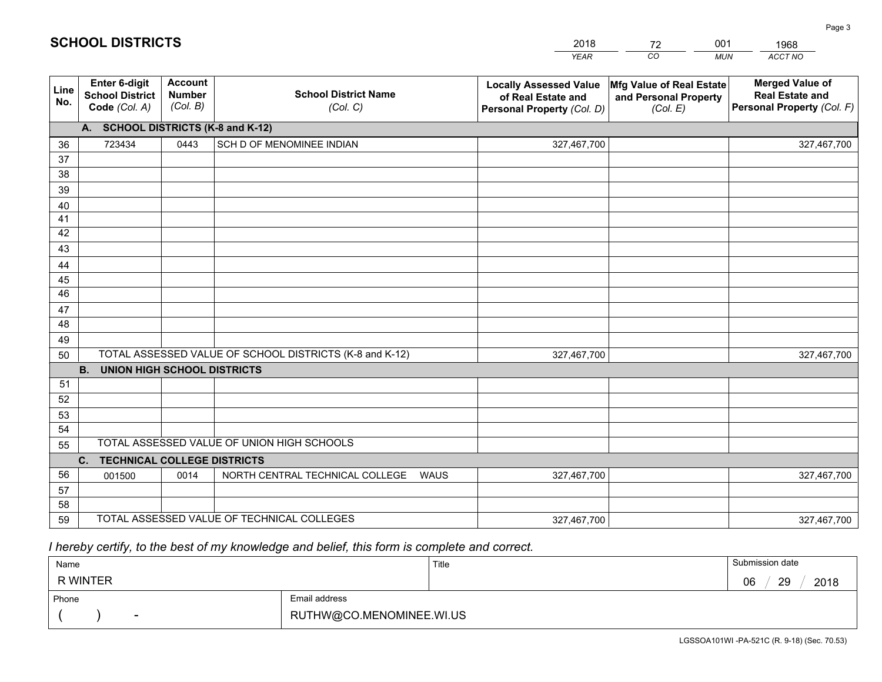|             |                                                                 |                                             |                                                         | <b>YEAR</b>                                                                       | CO<br><b>MUN</b>                                              | ACCT NO                                                                        |
|-------------|-----------------------------------------------------------------|---------------------------------------------|---------------------------------------------------------|-----------------------------------------------------------------------------------|---------------------------------------------------------------|--------------------------------------------------------------------------------|
| Line<br>No. | <b>Enter 6-digit</b><br><b>School District</b><br>Code (Col. A) | <b>Account</b><br><b>Number</b><br>(Col. B) | <b>School District Name</b><br>(Col. C)                 | <b>Locally Assessed Value</b><br>of Real Estate and<br>Personal Property (Col. D) | Mfg Value of Real Estate<br>and Personal Property<br>(Col. E) | <b>Merged Value of</b><br><b>Real Estate and</b><br>Personal Property (Col. F) |
|             | A. SCHOOL DISTRICTS (K-8 and K-12)                              |                                             |                                                         |                                                                                   |                                                               |                                                                                |
| 36          | 723434                                                          | 0443                                        | SCH D OF MENOMINEE INDIAN                               | 327,467,700                                                                       |                                                               | 327,467,700                                                                    |
| 37          |                                                                 |                                             |                                                         |                                                                                   |                                                               |                                                                                |
| 38          |                                                                 |                                             |                                                         |                                                                                   |                                                               |                                                                                |
| 39          |                                                                 |                                             |                                                         |                                                                                   |                                                               |                                                                                |
| 40          |                                                                 |                                             |                                                         |                                                                                   |                                                               |                                                                                |
| 41          |                                                                 |                                             |                                                         |                                                                                   |                                                               |                                                                                |
| 42          |                                                                 |                                             |                                                         |                                                                                   |                                                               |                                                                                |
| 43          |                                                                 |                                             |                                                         |                                                                                   |                                                               |                                                                                |
| 44          |                                                                 |                                             |                                                         |                                                                                   |                                                               |                                                                                |
| 45<br>46    |                                                                 |                                             |                                                         |                                                                                   |                                                               |                                                                                |
|             |                                                                 |                                             |                                                         |                                                                                   |                                                               |                                                                                |
| 47<br>48    |                                                                 |                                             |                                                         |                                                                                   |                                                               |                                                                                |
| 49          |                                                                 |                                             |                                                         |                                                                                   |                                                               |                                                                                |
| 50          |                                                                 |                                             | TOTAL ASSESSED VALUE OF SCHOOL DISTRICTS (K-8 and K-12) | 327,467,700                                                                       |                                                               | 327,467,700                                                                    |
|             | <b>UNION HIGH SCHOOL DISTRICTS</b><br><b>B.</b>                 |                                             |                                                         |                                                                                   |                                                               |                                                                                |
| 51          |                                                                 |                                             |                                                         |                                                                                   |                                                               |                                                                                |
| 52          |                                                                 |                                             |                                                         |                                                                                   |                                                               |                                                                                |
| 53          |                                                                 |                                             |                                                         |                                                                                   |                                                               |                                                                                |
| 54          |                                                                 |                                             |                                                         |                                                                                   |                                                               |                                                                                |
| 55          |                                                                 |                                             | TOTAL ASSESSED VALUE OF UNION HIGH SCHOOLS              |                                                                                   |                                                               |                                                                                |
|             | <b>TECHNICAL COLLEGE DISTRICTS</b><br>C.                        |                                             |                                                         |                                                                                   |                                                               |                                                                                |
| 56          | 001500                                                          | 0014                                        | NORTH CENTRAL TECHNICAL COLLEGE<br><b>WAUS</b>          | 327,467,700                                                                       |                                                               | 327,467,700                                                                    |
| 57          |                                                                 |                                             |                                                         |                                                                                   |                                                               |                                                                                |
| 58          |                                                                 |                                             |                                                         |                                                                                   |                                                               |                                                                                |
| 59          |                                                                 |                                             | TOTAL ASSESSED VALUE OF TECHNICAL COLLEGES              | 327,467,700                                                                       |                                                               | 327,467,700                                                                    |

2018

72

001

 *I hereby certify, to the best of my knowledge and belief, this form is complete and correct.*

**SCHOOL DISTRICTS**

| Name            |                          | Title | Submission date               |
|-----------------|--------------------------|-------|-------------------------------|
| <b>R WINTER</b> |                          |       | 2018<br>29<br><b>ng</b><br>υU |
| Phone           | Email address            |       |                               |
| $\sim$          | RUTHW@CO.MENOMINEE.WI.US |       |                               |

1968